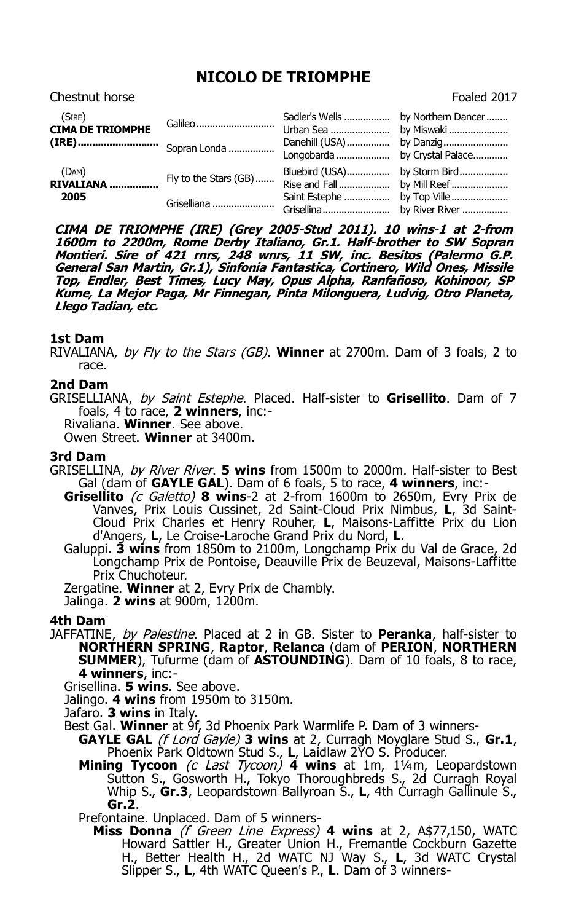# **NICOLO DE TRIOMPHE** Chestnut horse **Foaled 2017**

| (SIRE)<br><b>CIMA DE TRIOMPHE</b> | Galileo               | Sadler's Wells  by Northern Dancer<br>Urban Sea | by Miswaki                                 |
|-----------------------------------|-----------------------|-------------------------------------------------|--------------------------------------------|
|                                   |                       | Danehill (USA)                                  | by Danzig<br>Longobarda  by Crystal Palace |
| (DAM)<br><b>RIVALIANA</b>         | Fly to the Stars (GB) | Bluebird (USA)<br>Rise and Fall                 | by Storm Bird<br>by Mill Reef              |
| 2005                              | Griselliana           | Saint Estephe                                   | by Top Ville                               |

**CIMA DE TRIOMPHE (IRE) (Grey 2005-Stud 2011). 10 wins-1 at 2-from 1600m to 2200m, Rome Derby Italiano, Gr.1. Half-brother to SW Sopran Montieri. Sire of 421 rnrs, 248 wnrs, 11 SW, inc. Besitos (Palermo G.P. General San Martin, Gr.1), Sinfonia Fantastica, Cortinero, Wild Ones, Missile Top, Endler, Best Times, Lucy May, Opus Alpha, Ranfañoso, Kohinoor, SP Kume, La Mejor Paga, Mr Finnegan, Pinta Milonguera, Ludvig, Otro Planeta, Llego Tadian, etc.**

# **1st Dam**

RIVALIANA, by Fly to the Stars (GB). **Winner** at 2700m. Dam of 3 foals, 2 to race.

## **2nd Dam**

GRISELLIANA, by Saint Estephe. Placed. Half-sister to **Grisellito**. Dam of 7 foals, 4 to race, **2 winners**, inc:-

Rivaliana. **Winner**. See above.

Owen Street. **Winner** at 3400m.

### **3rd Dam**

- GRISELLINA, by River River. **5 wins** from 1500m to 2000m. Half-sister to Best Gal (dam of **GAYLE GAL**). Dam of 6 foals, 5 to race, **4 winners**, inc:-
	- **Grisellito** (c Galetto) **8 wins**-2 at 2-from 1600m to 2650m, Evry Prix de Vanves, Prix Louis Cussinet, 2d Saint-Cloud Prix Nimbus, **L**, 3d Saint-Cloud Prix Charles et Henry Rouher, **L**, Maisons-Laffitte Prix du Lion d'Angers, **L**, Le Croise-Laroche Grand Prix du Nord, **L**.
	- Galuppi. **3 wins** from 1850m to 2100m, Longchamp Prix du Val de Grace, 2d Longchamp Prix de Pontoise, Deauville Prix de Beuzeval, Maisons-Laffitte Prix Chuchoteur.

Zergatine. **Winner** at 2, Evry Prix de Chambly. Jalinga. **2 wins** at 900m, 1200m.

### **4th Dam**

- JAFFATINE, by Palestine. Placed at 2 in GB. Sister to **Peranka**, half-sister to **NORTHERN SPRING**, **Raptor**, **Relanca** (dam of **PERION**, **NORTHERN SUMMER**), Tufurme (dam of **ASTOUNDING**). Dam of 10 foals, 8 to race, **4 winners**, inc:-
	- Grisellina. **5 wins**. See above.
	- Jalingo. **4 wins** from 1950m to 3150m.
	- Jafaro. **3 wins** in Italy.
	- Best Gal. **Winner** at 9f, 3d Phoenix Park Warmlife P. Dam of 3 winners-
		- **GAYLE GAL** (f Lord Gayle) **3 wins** at 2, Curragh Moyglare Stud S., **Gr.1**, Phoenix Park Oldtown Stud S., **L**, Laidlaw 2YO S. Producer.
			- **Mining Tycoon** (c Last Tycoon) **4 wins** at 1m, 1¼m, Leopardstown Sutton S., Gosworth H., Tokyo Thoroughbreds S., 2d Curragh Royal Whip S., Gr.3, Leopardstown Ballyroan S., L. 4th Curragh Gallinule S., **Gr.2**.

Prefontaine. Unplaced. Dam of 5 winners-

**Miss Donna** (f Green Line Express) **4 wins** at 2, A\$77,150, WATC Howard Sattler H., Greater Union H., Fremantle Cockburn Gazette H., Better Health H., 2d WATC NJ Way S., **L**, 3d WATC Crystal Slipper S., **L**, 4th WATC Queen's P., **L**. Dam of 3 winners-